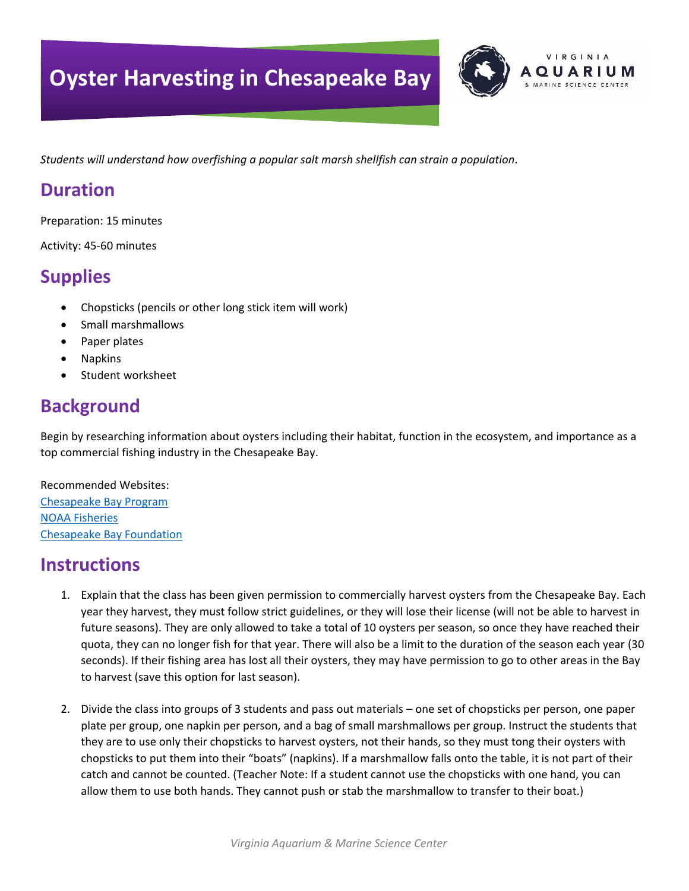# **Oyster Harvesting in Chesapeake Bay**



*Students will understand how overfishing a popular salt marsh shellfish can strain a population.*

#### **Duration**

Preparation: 15 minutes

Activity: 45-60 minutes

### **Supplies**

- Chopsticks (pencils or other long stick item will work)
- Small marshmallows
- Paper plates
- **Napkins**
- Student worksheet

## **Background**

Begin by researching information about oysters including their habitat, function in the ecosystem, and importance as a top commercial fishing industry in the Chesapeake Bay.

Recommended Websites: [Chesapeake Bay Program](https://www.chesapeakebay.net/issues/oysters) [NOAA Fisheries](https://www.fisheries.noaa.gov/topic/chesapeake-bay#oyster-restoration) [Chesapeake Bay Foundation](https://www.cbf.org/about-the-bay/more-than-just-the-bay/chesapeake-wildlife/eastern-oysters/oyster-fact-sheet.html)

### **Instructions**

- 1. Explain that the class has been given permission to commercially harvest oysters from the Chesapeake Bay. Each year they harvest, they must follow strict guidelines, or they will lose their license (will not be able to harvest in future seasons). They are only allowed to take a total of 10 oysters per season, so once they have reached their quota, they can no longer fish for that year. There will also be a limit to the duration of the season each year (30 seconds). If their fishing area has lost all their oysters, they may have permission to go to other areas in the Bay to harvest (save this option for last season).
- 2. Divide the class into groups of 3 students and pass out materials one set of chopsticks per person, one paper plate per group, one napkin per person, and a bag of small marshmallows per group. Instruct the students that they are to use only their chopsticks to harvest oysters, not their hands, so they must tong their oysters with chopsticks to put them into their "boats" (napkins). If a marshmallow falls onto the table, it is not part of their catch and cannot be counted. (Teacher Note: If a student cannot use the chopsticks with one hand, you can allow them to use both hands. They cannot push or stab the marshmallow to transfer to their boat.)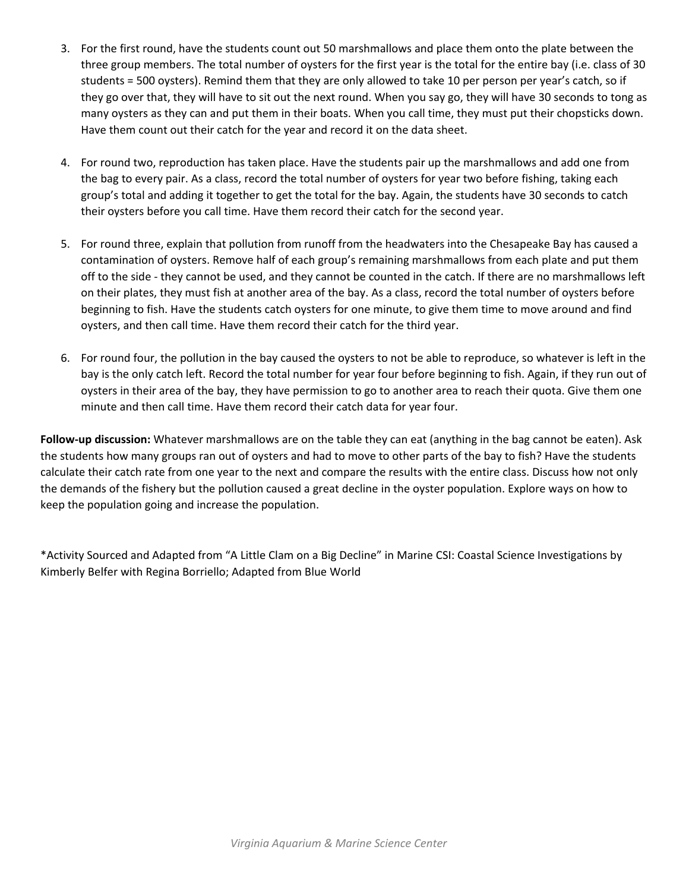- 3. For the first round, have the students count out 50 marshmallows and place them onto the plate between the three group members. The total number of oysters for the first year is the total for the entire bay (i.e. class of 30 students = 500 oysters). Remind them that they are only allowed to take 10 per person per year's catch, so if they go over that, they will have to sit out the next round. When you say go, they will have 30 seconds to tong as many oysters as they can and put them in their boats. When you call time, they must put their chopsticks down. Have them count out their catch for the year and record it on the data sheet.
- 4. For round two, reproduction has taken place. Have the students pair up the marshmallows and add one from the bag to every pair. As a class, record the total number of oysters for year two before fishing, taking each group's total and adding it together to get the total for the bay. Again, the students have 30 seconds to catch their oysters before you call time. Have them record their catch for the second year.
- 5. For round three, explain that pollution from runoff from the headwaters into the Chesapeake Bay has caused a contamination of oysters. Remove half of each group's remaining marshmallows from each plate and put them off to the side - they cannot be used, and they cannot be counted in the catch. If there are no marshmallows left on their plates, they must fish at another area of the bay. As a class, record the total number of oysters before beginning to fish. Have the students catch oysters for one minute, to give them time to move around and find oysters, and then call time. Have them record their catch for the third year.
- 6. For round four, the pollution in the bay caused the oysters to not be able to reproduce, so whatever is left in the bay is the only catch left. Record the total number for year four before beginning to fish. Again, if they run out of oysters in their area of the bay, they have permission to go to another area to reach their quota. Give them one minute and then call time. Have them record their catch data for year four.

**Follow-up discussion:** Whatever marshmallows are on the table they can eat (anything in the bag cannot be eaten). Ask the students how many groups ran out of oysters and had to move to other parts of the bay to fish? Have the students calculate their catch rate from one year to the next and compare the results with the entire class. Discuss how not only the demands of the fishery but the pollution caused a great decline in the oyster population. Explore ways on how to keep the population going and increase the population.

\*Activity Sourced and Adapted from "A Little Clam on a Big Decline" in Marine CSI: Coastal Science Investigations by Kimberly Belfer with Regina Borriello; Adapted from Blue World